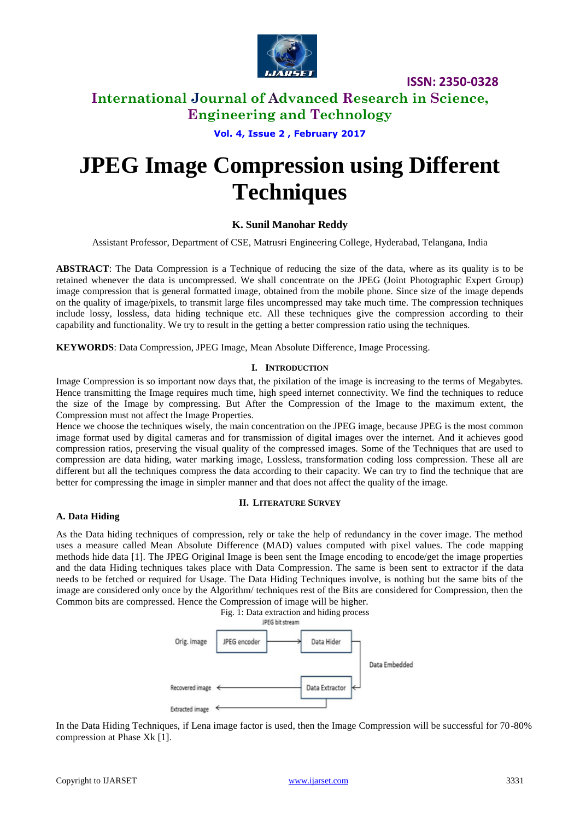

**ISSN: 2350-0328**

# **International Journal of Advanced Research in Science, Engineering and Technology**

**Vol. 4, Issue 2 , February 2017**

# **JPEG Image Compression using Different Techniques**

## **K. Sunil Manohar Reddy**

Assistant Professor, Department of CSE, Matrusri Engineering College, Hyderabad, Telangana, India

**ABSTRACT**: The Data Compression is a Technique of reducing the size of the data, where as its quality is to be retained whenever the data is uncompressed. We shall concentrate on the JPEG (Joint Photographic Expert Group) image compression that is general formatted image, obtained from the mobile phone. Since size of the image depends on the quality of image/pixels, to transmit large files uncompressed may take much time. The compression techniques include lossy, lossless, data hiding technique etc. All these techniques give the compression according to their capability and functionality. We try to result in the getting a better compression ratio using the techniques.

**KEYWORDS**: Data Compression, JPEG Image, Mean Absolute Difference, Image Processing.

## **I. INTRODUCTION**

Image Compression is so important now days that, the pixilation of the image is increasing to the terms of Megabytes. Hence transmitting the Image requires much time, high speed internet connectivity. We find the techniques to reduce the size of the Image by compressing. But After the Compression of the Image to the maximum extent, the Compression must not affect the Image Properties.

Hence we choose the techniques wisely, the main concentration on the JPEG image, because JPEG is the most common image format used by digital cameras and for transmission of digital images over the internet. And it achieves good compression ratios, preserving the visual quality of the compressed images. Some of the Techniques that are used to compression are data hiding, water marking image, Lossless, transformation coding loss compression. These all are different but all the techniques compress the data according to their capacity. We can try to find the technique that are better for compressing the image in simpler manner and that does not affect the quality of the image.

#### **II. LITERATURE SURVEY**

#### **A. Data Hiding**

As the Data hiding techniques of compression, rely or take the help of redundancy in the cover image. The method uses a measure called Mean Absolute Difference (MAD) values computed with pixel values. The code mapping methods hide data [1]. The JPEG Original Image is been sent the Image encoding to encode/get the image properties and the data Hiding techniques takes place with Data Compression. The same is been sent to extractor if the data needs to be fetched or required for Usage. The Data Hiding Techniques involve, is nothing but the same bits of the image are considered only once by the Algorithm/ techniques rest of the Bits are considered for Compression, then the Common bits are compressed. Hence the Compression of image will be higher.



In the Data Hiding Techniques, if Lena image factor is used, then the Image Compression will be successful for 70-80% compression at Phase Xk [1].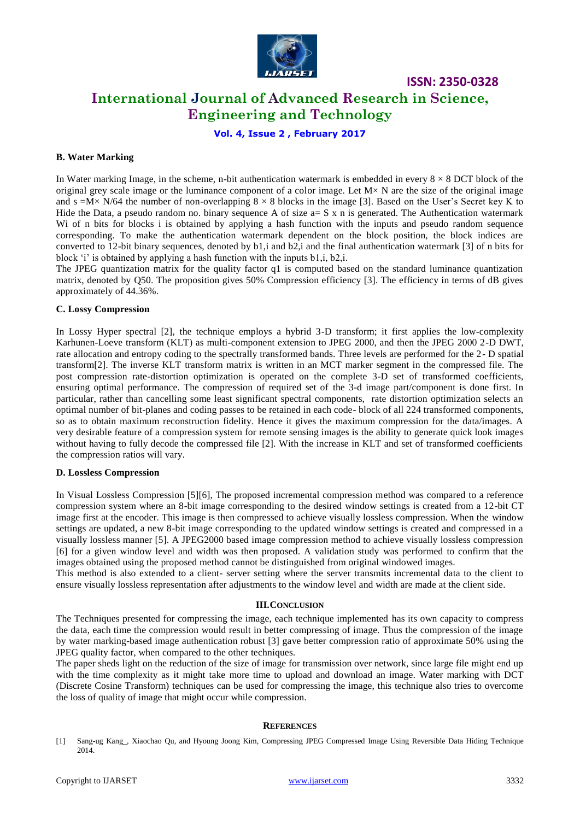

**ISSN: 2350-0328**

# **International Journal of Advanced Research in Science, Engineering and Technology**

**Vol. 4, Issue 2 , February 2017**

#### **B. Water Marking**

In Water marking Image, in the scheme, n-bit authentication watermark is embedded in every  $8 \times 8$  DCT block of the original grey scale image or the luminance component of a color image. Let  $M \times N$  are the size of the original image and s = $M \times N/64$  the number of non-overlapping  $8 \times 8$  blocks in the image [3]. Based on the User's Secret key K to Hide the Data, a pseudo random no. binary sequence A of size  $a = S \times n$  is generated. The Authentication watermark Wi of n bits for blocks i is obtained by applying a hash function with the inputs and pseudo random sequence corresponding. To make the authentication watermark dependent on the block position, the block indices are converted to 12-bit binary sequences, denoted by b1,i and b2,i and the final authentication watermark [3] of n bits for block 'i' is obtained by applying a hash function with the inputs b1,i, b2,i.

The JPEG quantization matrix for the quality factor q1 is computed based on the standard luminance quantization matrix, denoted by Q50. The proposition gives 50% Compression efficiency [3]. The efficiency in terms of dB gives approximately of 44.36%.

#### **C. Lossy Compression**

In Lossy Hyper spectral [2], the technique employs a hybrid 3-D transform; it first applies the low-complexity Karhunen-Loeve transform (KLT) as multi-component extension to JPEG 2000, and then the JPEG 2000 2-D DWT, rate allocation and entropy coding to the spectrally transformed bands. Three levels are performed for the 2- D spatial transform[2]. The inverse KLT transform matrix is written in an MCT marker segment in the compressed file. The post compression rate-distortion optimization is operated on the complete 3-D set of transformed coefficients, ensuring optimal performance. The compression of required set of the 3-d image part/component is done first. In particular, rather than cancelling some least significant spectral components, rate distortion optimization selects an optimal number of bit-planes and coding passes to be retained in each code- block of all 224 transformed components, so as to obtain maximum reconstruction fidelity. Hence it gives the maximum compression for the data/images. A very desirable feature of a compression system for remote sensing images is the ability to generate quick look images without having to fully decode the compressed file [2]. With the increase in KLT and set of transformed coefficients the compression ratios will vary.

#### **D. Lossless Compression**

In Visual Lossless Compression [5][6], The proposed incremental compression method was compared to a reference compression system where an 8-bit image corresponding to the desired window settings is created from a 12-bit CT image first at the encoder. This image is then compressed to achieve visually lossless compression. When the window settings are updated, a new 8-bit image corresponding to the updated window settings is created and compressed in a visually lossless manner [5]. A JPEG2000 based image compression method to achieve visually lossless compression [6] for a given window level and width was then proposed. A validation study was performed to confirm that the images obtained using the proposed method cannot be distinguished from original windowed images.

This method is also extended to a client- server setting where the server transmits incremental data to the client to ensure visually lossless representation after adjustments to the window level and width are made at the client side.

#### **III.CONCLUSION**

The Techniques presented for compressing the image, each technique implemented has its own capacity to compress the data, each time the compression would result in better compressing of image. Thus the compression of the image by water marking-based image authentication robust [3] gave better compression ratio of approximate 50% using the JPEG quality factor, when compared to the other techniques.

The paper sheds light on the reduction of the size of image for transmission over network, since large file might end up with the time complexity as it might take more time to upload and download an image. Water marking with DCT (Discrete Cosine Transform) techniques can be used for compressing the image, this technique also tries to overcome the loss of quality of image that might occur while compression.

#### **REFERENCES**

[1] Sang-ug Kang\_, Xiaochao Qu, and Hyoung Joong Kim, Compressing JPEG Compressed Image Using Reversible Data Hiding Technique 2014.